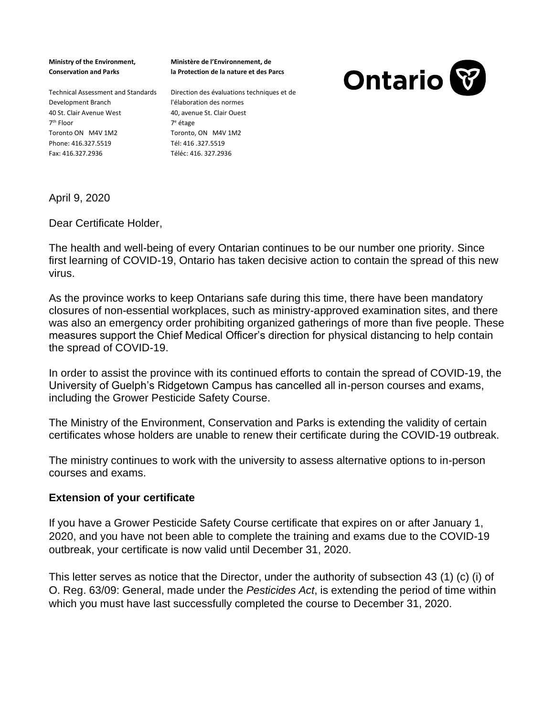**Ministry of the Environment, Conservation and Parks** 

**Ministère de l'Environnement, de la Protection de la nature et des Parcs**



Technical Assessment and Standards Direction des évaluations techniques et de Development Branch 40 St. Clair Avenue West 7 th Floor Toronto ON M4V 1M2 Phone: 416.327.5519 Fax: 416.327.2936

l'élaboration des normes 40, avenue St. Clair Ouest 7 <sup>e</sup> étage Toronto, ON M4V 1M2 Tél: 416 .327.5519 Téléc: 416. 327.2936

April 9, 2020

Dear Certificate Holder,

The health and well-being of every Ontarian continues to be our number one priority. Since first learning of COVID-19, Ontario has taken decisive action to contain the spread of this new virus.

As the province works to keep Ontarians safe during this time, there have been mandatory closures of non-essential workplaces, such as ministry-approved examination sites, and there was also an emergency order prohibiting organized gatherings of more than five people. These measures support the Chief Medical Officer's direction for physical distancing to help contain the spread of COVID-19.

In order to assist the province with its continued efforts to contain the spread of COVID-19, the University of Guelph's Ridgetown Campus has cancelled all in-person courses and exams, including the Grower Pesticide Safety Course.

The Ministry of the Environment, Conservation and Parks is extending the validity of certain certificates whose holders are unable to renew their certificate during the COVID-19 outbreak.

The ministry continues to work with the university to assess alternative options to in-person courses and exams.

## **Extension of your certificate**

If you have a Grower Pesticide Safety Course certificate that expires on or after January 1, 2020, and you have not been able to complete the training and exams due to the COVID-19 outbreak, your certificate is now valid until December 31, 2020.

This letter serves as notice that the Director, under the authority of subsection 43 (1) (c) (i) of O. Reg. 63/09: General, made under the *Pesticides Act*, is extending the period of time within which you must have last successfully completed the course to December 31, 2020.